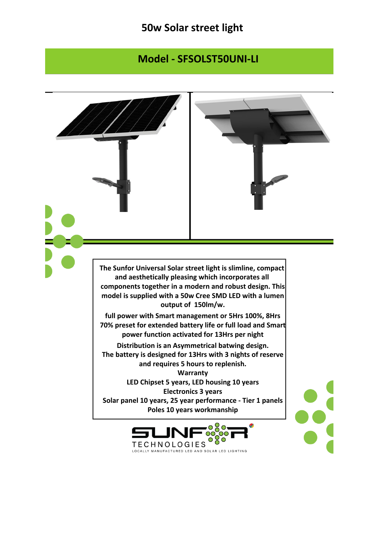## **50w Solar street light**

## **Model - SFSOLST50UNI-LI**